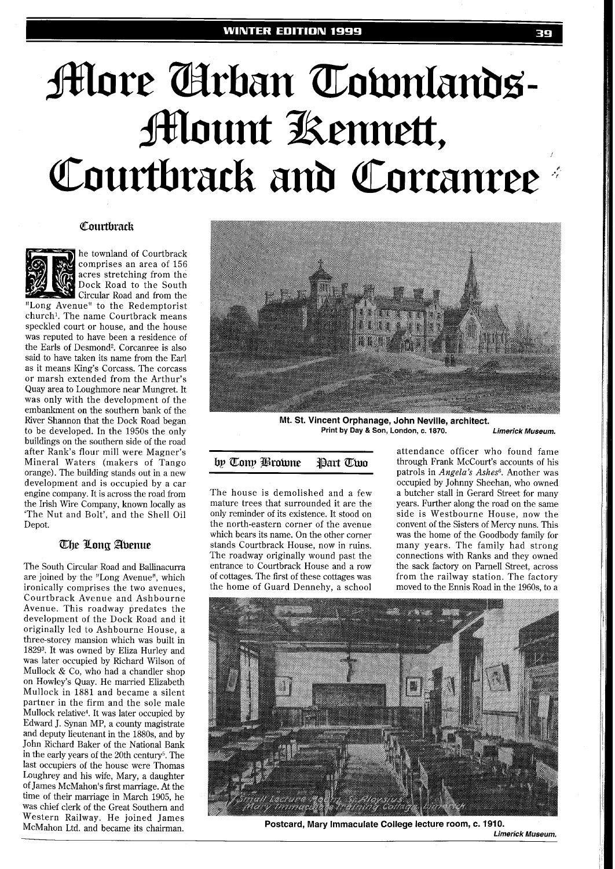# **More Arban Townlands-Mount Kennett,** Courtbrack and Cortanree

#### Courtbrack



he townland of Courtbrack comprises an area of 156 acres stretching from the Dock Road to the South Circular Road and from the

"Long Avenue" to the Redemptorist church'. The name Courtbrack means speckled court or house, and the house was reputed to have been a residence of the Earls of Desmond2. Corcanree is also said to have taken its name from the Earl as it means King's Corcass. The corcass or marsh extended from the Arthur's Quay area to Loughmore near Mungret. It was only with the development of the embankment on the southern bank of the River Shannon that the Dock Road began to be developed. In the 1950s the only buildings on the southern side of the road after Rank's flour mill were Magner's Mineral Waters (makers of Tango orange). The building stands out in a new development and is occupied by a car engine company. It is across the road from the Irish Wire Company, known locally as 'The Nut and Bolt', and the Shell Oil Depot.

### The Long Abenue

The South Circular Road and Ballinacurra are joined by the "Long Avenue", which ironically comprises the two avenues, Courtbrack Avenue and Ashbourne Avenue. This roadway predates the development of the Dock Road and it originally led to Ashbourne House, a three-storey mansion which was built in 182g3. It was owned by Eliza Hurley and was later occupied by Richard Wilson of Mullock & Co, who had a chandler shop on Howley's Quay. He married Elizabeth Mullock in 1881 and became a silent partner in the firm and the sole male Mullock relative4. It was later occupied by Edward J. Synan MP, a county magistrate and deputy lieutenant in the 1880s, and by John Richard Baker of the National Bank in the early years of the 20th century5. The last occupiers of the house were Thomas Loughrey and his wife, Mary, a daughter of James McMahon's first marriage. At the time of their marriage in March 1905, he was chief clerk of the Great Southern and Western Railway. He joined James McMahon Ltd. and became its chairman.



**Mt. St. Vincent Orphanage, John Neville, architect. Print by Day** & **son, London, c. 1870. Limerick Museum.** 

by Tony Browne Part Two

The house is demolished and a few mature trees that surrounded it are the only reminder of its existence. It stood on the north-eastern corner of the avenue which bears its name. On the other corner stands Courtbrack House, now in ruins. The roadway originally wound past the entrance to Courtbrack House and a row of cottages. The first of these cottages was the home of Guard Dennehy, a school

attendance officer who found fame through Frank McCourt's accounts of his patrols in *Angela's Ashes6.* Another was occupied by Johnny Sheehan, who owned a butcher stall in Gerard Street for many years. Further along the road on the same side is Westbourne House, now the convent of the Sisters of Mercy nuns. This was the home of the Goodbody family for many years. The family had strong connections with Ranks and they owned the sack factory on Parnell Street, across from the railway station. The factory moved to the Ennis Road in the 1960s, to a



**Postcard, Mary Immaculate College lecture room, c. 1910.**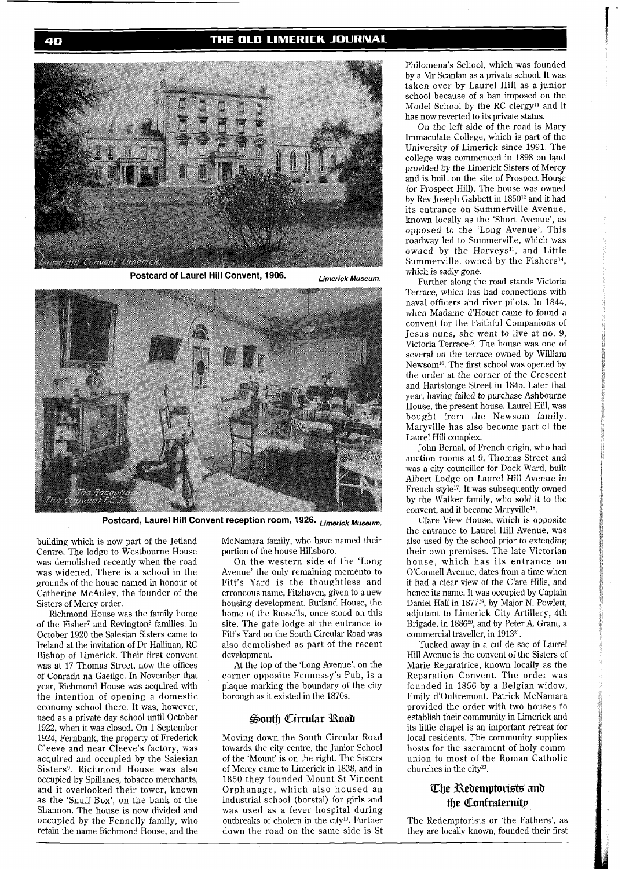#### THE OLD LIMERICK JOURNAL



**Postcard of Laurel Hill Convent, 1906. Limerick Museum.** 



**Postcard, Laurel Hill Convent reception room, 1926. Limerick Museum.** 

building which is now part of the Jetland Centre. The lodge to Westbourne House was demolished recently when the road was widened. There is a school in the grounds of the house named in honour of Catherine McAuley, the founder of the Sisters of Mercy order.

Richmond House was the family home of the Fisher<sup>7</sup> and Revington<sup>8</sup> families. In October 1920 the Salesian Sisters came to Ireland at the invitation of Dr Hallinan, RC Bishop of Limerick. Their first convent was at 17 Thomas Street, now the offices of Conradh na Gaeilge. In November that year, Richmond House was acquired with the intention of opening a domestic economy school there. It was, however, used as a private day school until October 1922, when it was closed. On 1 September 1924, Fernbank, the property of Frederick Cleeve and near Cleeve's factory, was acquired and occupied by the Salesian Sisters<sup>9</sup>. Richmond House was also occupied by Spillanes, tobacco merchants, and it overlooked their tower, known as the 'Snuff Box', on the bank of the Shannon. The house is now divided and occupied by the Fennelly family, who retain the name Richmond House, and the

McNamara family, who have named their portion of the house Hillsboro.

On the western side of the 'Long Avenue' the only remaining memento to Fitt's Yard is the thoughtless and erroneous name, Fitzhaven, given to a new housing development. Rutland House, the home of the Russells, once stood on this site. The gate lodge at the entrance to Fitt's Yard on the South Circular Road was also demolished as part of the recent development.

At the top of the 'Long Avenue', on the corner opposite Fennessy's Pub, is a plaque marking the boundary of the city borough as it existed in the 1870s.

#### South Circular Road

Moving down the South Circular Road towards the city centre, the Junior School of the 'Mount' is on the right. The Sisters of Mercy came to Limerick in 1838, and in 1850 they founded Mount St Vincent Orphanage, which also housed an industrial school (borstal) for girls and was used as a fever hospital during outbreaks of cholera in the city<sup>10</sup>. Further down the road on the same side is St

Philomena's School, which was founded by a Mr Scanlan as a private school. It was taken over by Laurel Hill as a junior school because of a ban imposed on the Model School by the RC clergy<sup>11</sup> and it has now reverted to its private status.

On the left side of the road is Mary Immaculate College, which is part of the University of Limerick since 1991. The college was commenced in 1898 on land provided by the Limerick Sisters of Mercy and is built on the site of Prospect House (or Prospect Hill). The house was owned by Rev Joseph Gabbett in 1850<sup>12</sup> and it had its entrance on Summerville Avenue, known locally as the 'Short Avenue', as opposed to the 'Long Avenue'. This roadway led to Summerville, which was owned by the Harveys<sup>13</sup>, and Little Summerville, owned by the Fishers<sup>14</sup>, which is sadly gone.

Further along the road stands Victoria Terrace, which has had connections with naval officers and river pilots. In 1844, when Madame d'Houet came to found a convent for the Faithful Companions of Jesus nuns, she went to live at no. 9, Victoria Terrace15. The house was one of several on the terrace owned by William Newsom<sup>16</sup>. The first school was opened by the order at the corner of the Crescent and Hartstonge Street in 1845. Later that year, having failed to purchase Ashbourne House, the present house, Laurel Hill, was bought from the Newsom family. Maryville has also become part of the Laurel Hill complex.

John Bernal, of French origin, who had auction rooms at 9, Thomas Street and was a city councillor for Dock Ward, built Albert Lodge on Laurel Hill Avenue in French style<sup>17</sup>. It was subsequently owned by the Walker family, who sold it to the convent, and it became Maryville<sup>18</sup>.

Clare View House, which is opposite the entrance to Laurel Hill Avenue, was also used by the school prior to extending their own premises. The late Victorian house, which has its entrance on O'Connell Avenue, dates from a time when it had a clear view of the Clare Hills, and hence its name. It was occupied by Captain Daniel Hall in 187719, by Major N. Powlett, adjutant to Limerick City Artillery, 4th Brigade, in 1886<sup>20</sup>, and by Peter A. Grant, a commercial traveller, in 191321.

Tucked away in a cul de sac of Laurel Hill Avenue is the convent of the Sisters of Marie Reparatrice, known locally as the Reparation Convent. The order was founded in 1856 by a Belgian widow, Emily d'oultremont. Patrick McNamara provided the order with two houses to establish their community in Limerick and its little chapel is an important retreat for local residents. The community supplies hosts for the sacrament of holy communion to most of the Roman Catholic churches in the city<sup>22</sup>.

## The Redemptorists and the Confraternity

The Redemptorists or 'the Fathers', as they are locally known, founded their first